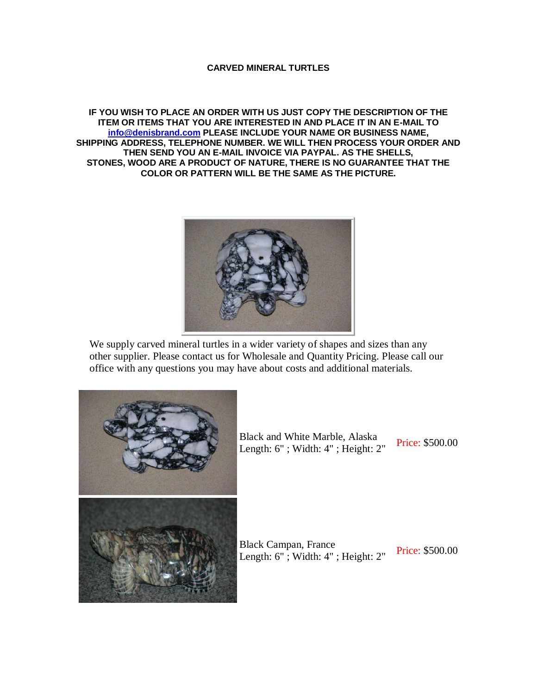## **CARVED MINERAL TURTLES**

**IF YOU WISH TO PLACE AN ORDER WITH US JUST COPY THE DESCRIPTION OF THE ITEM OR ITEMS THAT YOU ARE INTERESTED IN AND PLACE IT IN AN E-MAIL TO [info@denisbrand.com](mailto:info@denisbrand.com) PLEASE INCLUDE YOUR NAME OR BUSINESS NAME, SHIPPING ADDRESS, TELEPHONE NUMBER. WE WILL THEN PROCESS YOUR ORDER AND THEN SEND YOU AN E-MAIL INVOICE VIA PAYPAL. AS THE SHELLS, STONES, WOOD ARE A PRODUCT OF NATURE, THERE IS NO GUARANTEE THAT THE COLOR OR PATTERN WILL BE THE SAME AS THE PICTURE.**



We supply carved mineral turtles in a wider variety of shapes and sizes than any other supplier. Please contact us for Wholesale and Quantity Pricing. Please call our office with any questions you may have about costs and additional materials.



Black and White Marble, Alaska Example 2.1 Frice: \$500.00<br>Length: 6"; Width: 4"; Height: 2" Price: \$500.00

Black Campan, France Length: 6" ; Width: 4" ; Height: 2" Price: \$500.00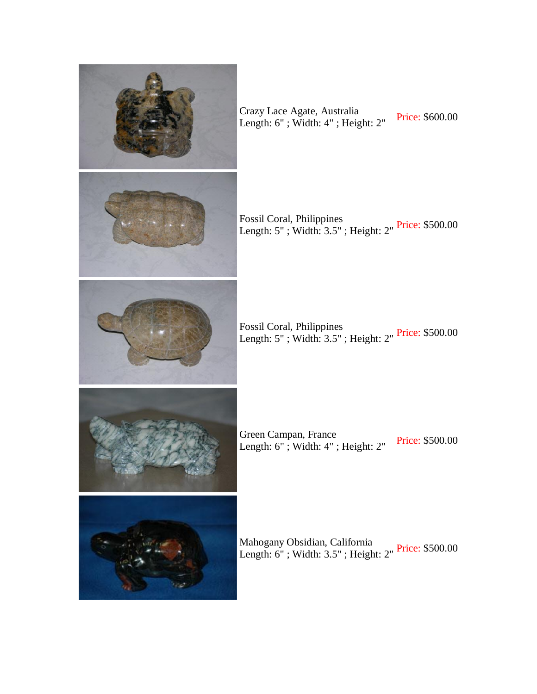

Crazy Lace Agate, Australia Length: 6"; Width: 4"; Height: 2" Price: \$600.00

Fossil Coral, Philippines Length: 5" ; Width: 3.5" ; Height: 2" Price: \$500.00

Fossil Coral, Philippines Length: 5" ; Width: 3.5" ; Height: 2" Price: \$500.00

Green Campan, France Length: 6"; Width: 4"; Height: 2" Price: \$500.00

Mahogany Obsidian, California<br>Length: 6" ; Width: 3.5" ; Height: 2" <sup>Price:</sup> \$500.00